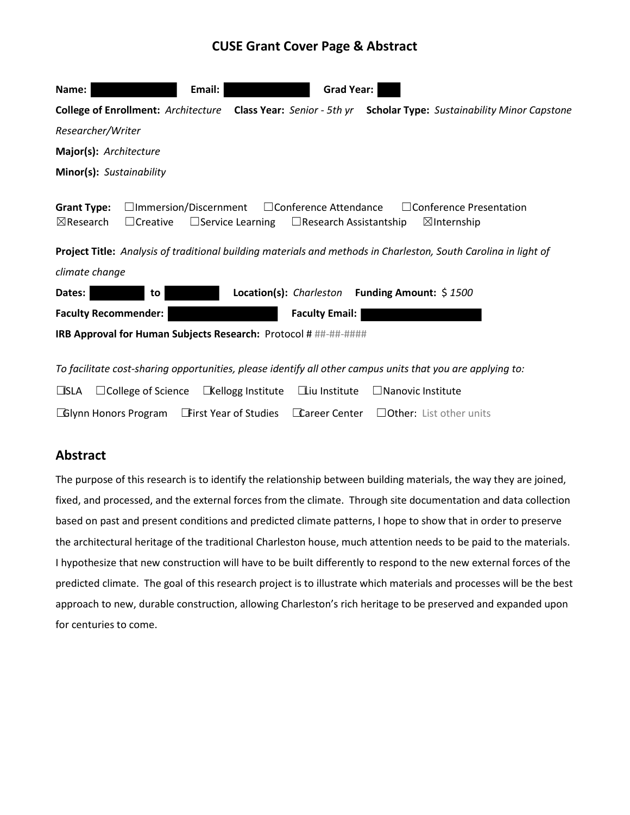# **CUSE Grant Cover Page & Abstract**

| <b>Grad Year:</b><br>Email:<br>Name:                                                                                                                                                                                                                                                                                                                                     |  |  |  |  |  |  |
|--------------------------------------------------------------------------------------------------------------------------------------------------------------------------------------------------------------------------------------------------------------------------------------------------------------------------------------------------------------------------|--|--|--|--|--|--|
| <b>College of Enrollment: Architecture</b><br>Class Year: Senior - 5th yr Scholar Type: Sustainability Minor Capstone                                                                                                                                                                                                                                                    |  |  |  |  |  |  |
| Researcher/Writer                                                                                                                                                                                                                                                                                                                                                        |  |  |  |  |  |  |
| Major(s): Architecture                                                                                                                                                                                                                                                                                                                                                   |  |  |  |  |  |  |
| Minor(s): Sustainability                                                                                                                                                                                                                                                                                                                                                 |  |  |  |  |  |  |
| $\Box$ Conference Presentation<br>$\Box$ Immersion/Discernment<br>$\Box$ Conference Attendance<br><b>Grant Type:</b><br>$\boxtimes$ Research<br>$\Box$ Creative<br>$\Box$ Service Learning<br>$\Box$ Research Assistantship<br>$\boxtimes$ Internship<br>Project Title: Analysis of traditional building materials and methods in Charleston, South Carolina in light of |  |  |  |  |  |  |
| climate change                                                                                                                                                                                                                                                                                                                                                           |  |  |  |  |  |  |
| Location(s): Charleston Funding Amount: \$1500<br>Dates:<br>to                                                                                                                                                                                                                                                                                                           |  |  |  |  |  |  |
| <b>Faculty Recommender:</b><br><b>Faculty Email:</b>                                                                                                                                                                                                                                                                                                                     |  |  |  |  |  |  |
| IRB Approval for Human Subjects Research: Protocol # ##-##-#####                                                                                                                                                                                                                                                                                                         |  |  |  |  |  |  |
| To facilitate cost-sharing opportunities, please identify all other campus units that you are applying to:<br>$\Box$ CLA $\Box$ Collogo of Ccionco $\Box$ Kollogo Instituto $\Box$ iu Instituto $\Box$ Napovis Instituto                                                                                                                                                 |  |  |  |  |  |  |

|  |  | $\Box$ SLA $\Box$ College of Science $\Box$ Kellogg Institute $\Box$ iu Institute $\Box$ Nanovic Institute |
|--|--|------------------------------------------------------------------------------------------------------------|
|  |  | <b>CGIynn Honors Program First Year of Studies Career Center</b> $\Box$ Other: List other units            |

## **Abstract**

The purpose of this research is to identify the relationship between building materials, the way they are joined, fixed, and processed, and the external forces from the climate. Through site documentation and data collection based on past and present conditions and predicted climate patterns, I hope to show that in order to preserve the architectural heritage of the traditional Charleston house, much attention needs to be paid to the materials. I hypothesize that new construction will have to be built differently to respond to the new external forces of the predicted climate. The goal of this research project is to illustrate which materials and processes will be the best approach to new, durable construction, allowing Charleston's rich heritage to be preserved and expanded upon for centuries to come.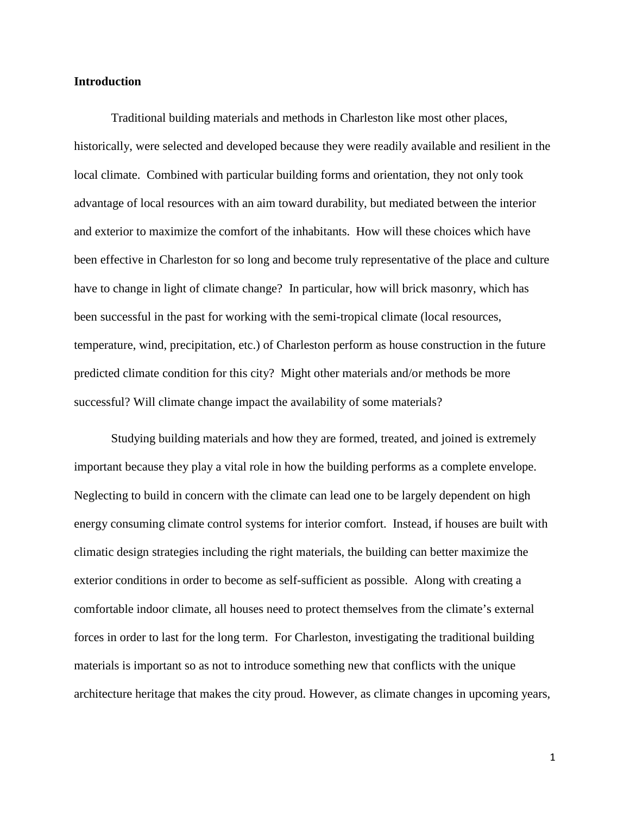## **Introduction**

Traditional building materials and methods in Charleston like most other places, historically, were selected and developed because they were readily available and resilient in the local climate. Combined with particular building forms and orientation, they not only took advantage of local resources with an aim toward durability, but mediated between the interior and exterior to maximize the comfort of the inhabitants. How will these choices which have been effective in Charleston for so long and become truly representative of the place and culture have to change in light of climate change? In particular, how will brick masonry, which has been successful in the past for working with the semi-tropical climate (local resources, temperature, wind, precipitation, etc.) of Charleston perform as house construction in the future predicted climate condition for this city? Might other materials and/or methods be more successful? Will climate change impact the availability of some materials?

Studying building materials and how they are formed, treated, and joined is extremely important because they play a vital role in how the building performs as a complete envelope. Neglecting to build in concern with the climate can lead one to be largely dependent on high energy consuming climate control systems for interior comfort. Instead, if houses are built with climatic design strategies including the right materials, the building can better maximize the exterior conditions in order to become as self-sufficient as possible. Along with creating a comfortable indoor climate, all houses need to protect themselves from the climate's external forces in order to last for the long term. For Charleston, investigating the traditional building materials is important so as not to introduce something new that conflicts with the unique architecture heritage that makes the city proud. However, as climate changes in upcoming years,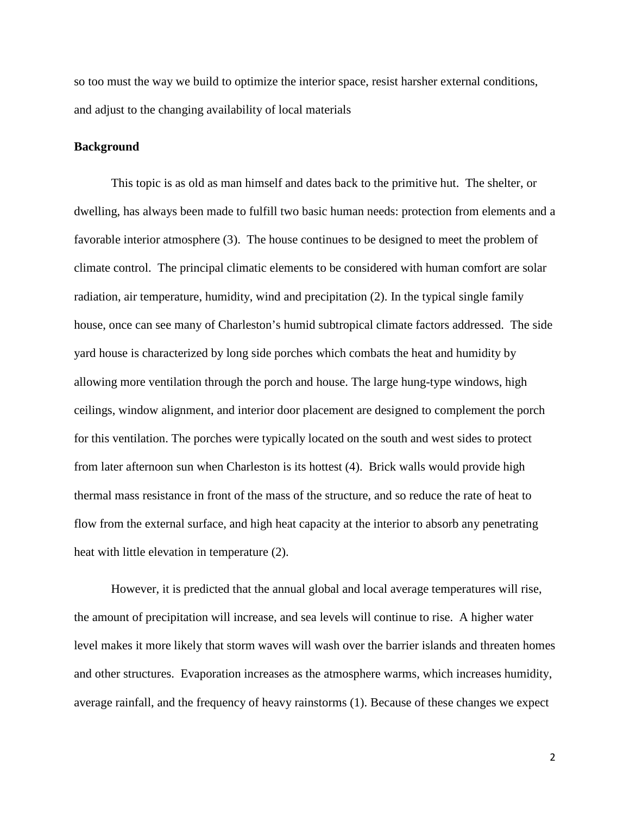so too must the way we build to optimize the interior space, resist harsher external conditions, and adjust to the changing availability of local materials

## **Background**

 This topic is as old as man himself and dates back to the primitive hut. The shelter, or dwelling, has always been made to fulfill two basic human needs: protection from elements and a favorable interior atmosphere (3). The house continues to be designed to meet the problem of climate control. The principal climatic elements to be considered with human comfort are solar radiation, air temperature, humidity, wind and precipitation (2). In the typical single family house, once can see many of Charleston's humid subtropical climate factors addressed. The side yard house is characterized by long side porches which combats the heat and humidity by allowing more ventilation through the porch and house. The large hung-type windows, high ceilings, window alignment, and interior door placement are designed to complement the porch for this ventilation. The porches were typically located on the south and west sides to protect from later afternoon sun when Charleston is its hottest (4). Brick walls would provide high thermal mass resistance in front of the mass of the structure, and so reduce the rate of heat to flow from the external surface, and high heat capacity at the interior to absorb any penetrating heat with little elevation in temperature (2).

However, it is predicted that the annual global and local average temperatures will rise, the amount of precipitation will increase, and sea levels will continue to rise. A higher water level makes it more likely that storm waves will wash over the barrier islands and threaten homes and other structures. Evaporation increases as the atmosphere warms, which increases humidity, average rainfall, and the frequency of heavy rainstorms (1). Because of these changes we expect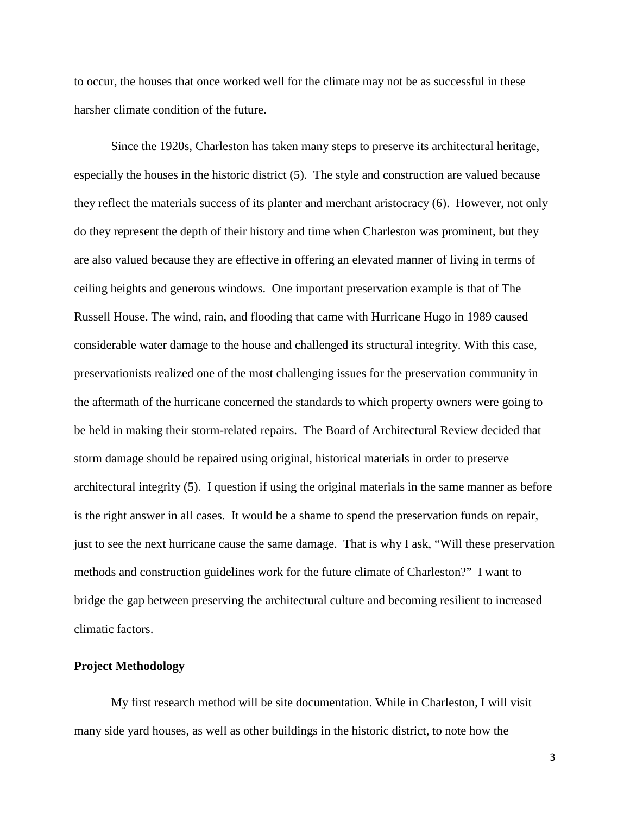to occur, the houses that once worked well for the climate may not be as successful in these harsher climate condition of the future.

 Since the 1920s, Charleston has taken many steps to preserve its architectural heritage, especially the houses in the historic district (5). The style and construction are valued because they reflect the materials success of its planter and merchant aristocracy (6). However, not only do they represent the depth of their history and time when Charleston was prominent, but they are also valued because they are effective in offering an elevated manner of living in terms of ceiling heights and generous windows. One important preservation example is that of The Russell House. The wind, rain, and flooding that came with Hurricane Hugo in 1989 caused considerable water damage to the house and challenged its structural integrity. With this case, preservationists realized one of the most challenging issues for the preservation community in the aftermath of the hurricane concerned the standards to which property owners were going to be held in making their storm-related repairs. The Board of Architectural Review decided that storm damage should be repaired using original, historical materials in order to preserve architectural integrity (5). I question if using the original materials in the same manner as before is the right answer in all cases. It would be a shame to spend the preservation funds on repair, just to see the next hurricane cause the same damage. That is why I ask, "Will these preservation methods and construction guidelines work for the future climate of Charleston?" I want to bridge the gap between preserving the architectural culture and becoming resilient to increased climatic factors.

#### **Project Methodology**

My first research method will be site documentation. While in Charleston, I will visit many side yard houses, as well as other buildings in the historic district, to note how the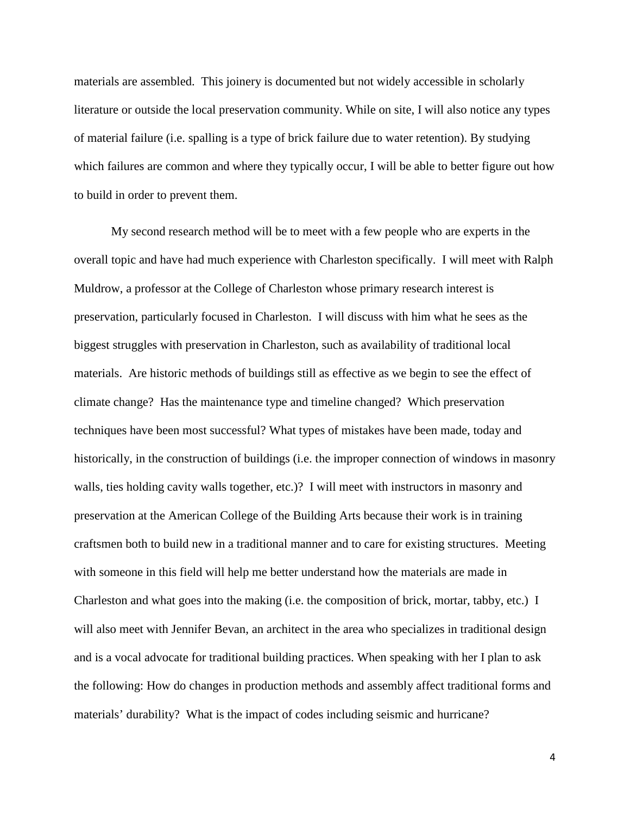materials are assembled. This joinery is documented but not widely accessible in scholarly literature or outside the local preservation community. While on site, I will also notice any types of material failure (i.e. spalling is a type of brick failure due to water retention). By studying which failures are common and where they typically occur, I will be able to better figure out how to build in order to prevent them.

My second research method will be to meet with a few people who are experts in the overall topic and have had much experience with Charleston specifically. I will meet with Ralph Muldrow, a professor at the College of Charleston whose primary research interest is preservation, particularly focused in Charleston. I will discuss with him what he sees as the biggest struggles with preservation in Charleston, such as availability of traditional local materials. Are historic methods of buildings still as effective as we begin to see the effect of climate change? Has the maintenance type and timeline changed? Which preservation techniques have been most successful? What types of mistakes have been made, today and historically, in the construction of buildings (i.e. the improper connection of windows in masonry walls, ties holding cavity walls together, etc.)? I will meet with instructors in masonry and preservation at the American College of the Building Arts because their work is in training craftsmen both to build new in a traditional manner and to care for existing structures. Meeting with someone in this field will help me better understand how the materials are made in Charleston and what goes into the making (i.e. the composition of brick, mortar, tabby, etc.) I will also meet with Jennifer Bevan, an architect in the area who specializes in traditional design and is a vocal advocate for traditional building practices. When speaking with her I plan to ask the following: How do changes in production methods and assembly affect traditional forms and materials' durability? What is the impact of codes including seismic and hurricane?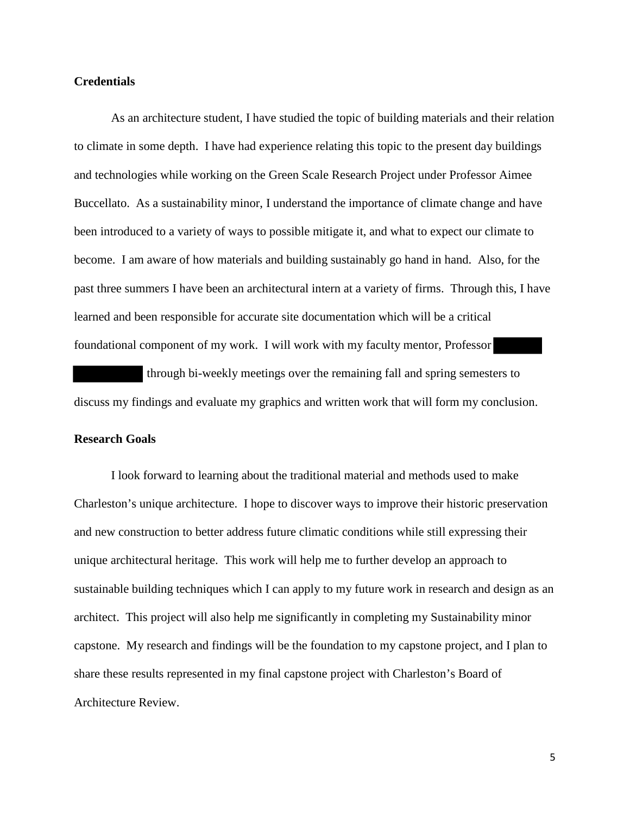## **Credentials**

As an architecture student, I have studied the topic of building materials and their relation to climate in some depth. I have had experience relating this topic to the present day buildings and technologies while working on the Green Scale Research Project under Professor Aimee Buccellato. As a sustainability minor, I understand the importance of climate change and have been introduced to a variety of ways to possible mitigate it, and what to expect our climate to become. I am aware of how materials and building sustainably go hand in hand. Also, for the past three summers I have been an architectural intern at a variety of firms. Through this, I have learned and been responsible for accurate site documentation which will be a critical foundational component of my work. I will work with my faculty mentor, Professor

 through bi-weekly meetings over the remaining fall and spring semesters to discuss my findings and evaluate my graphics and written work that will form my conclusion.

## **Research Goals**

I look forward to learning about the traditional material and methods used to make Charleston's unique architecture. I hope to discover ways to improve their historic preservation and new construction to better address future climatic conditions while still expressing their unique architectural heritage. This work will help me to further develop an approach to sustainable building techniques which I can apply to my future work in research and design as an architect. This project will also help me significantly in completing my Sustainability minor capstone. My research and findings will be the foundation to my capstone project, and I plan to share these results represented in my final capstone project with Charleston's Board of Architecture Review.